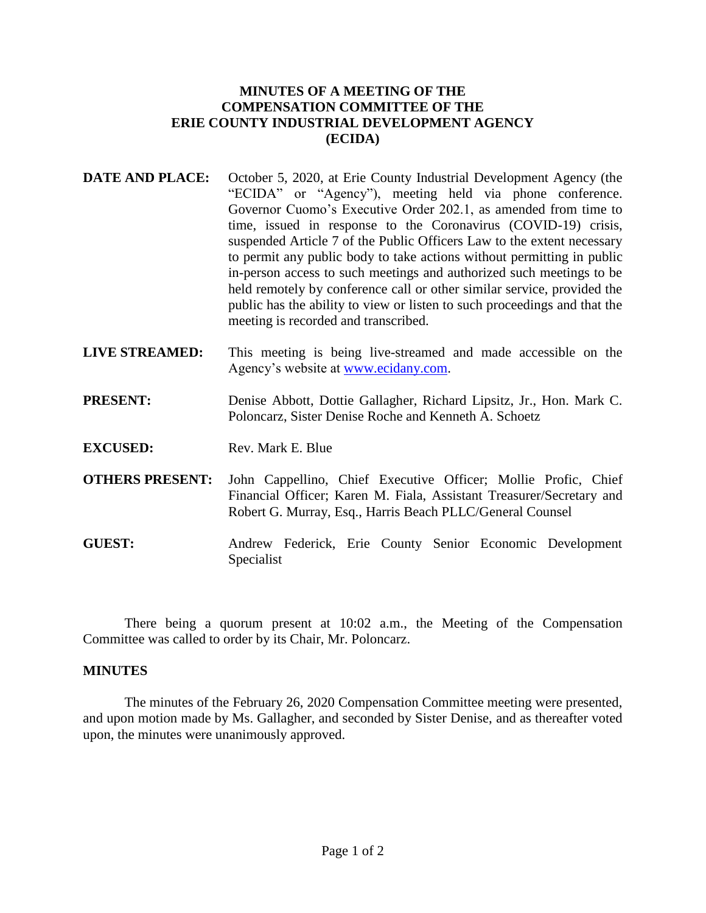## **MINUTES OF A MEETING OF THE COMPENSATION COMMITTEE OF THE ERIE COUNTY INDUSTRIAL DEVELOPMENT AGENCY (ECIDA)**

- **DATE AND PLACE:** October 5, 2020, at Erie County Industrial Development Agency (the "ECIDA" or "Agency"), meeting held via phone conference. Governor Cuomo's Executive Order 202.1, as amended from time to time, issued in response to the Coronavirus (COVID-19) crisis, suspended Article 7 of the Public Officers Law to the extent necessary to permit any public body to take actions without permitting in public in-person access to such meetings and authorized such meetings to be held remotely by conference call or other similar service, provided the public has the ability to view or listen to such proceedings and that the meeting is recorded and transcribed.
- **LIVE STREAMED:** This meeting is being live-streamed and made accessible on the Agency's website at [www.ecidany.com.](http://www.ecidany.com/)
- **PRESENT:** Denise Abbott, Dottie Gallagher, Richard Lipsitz, Jr., Hon. Mark C. Poloncarz, Sister Denise Roche and Kenneth A. Schoetz

**EXCUSED:** Rev. Mark E. Blue

- **OTHERS PRESENT:** John Cappellino, Chief Executive Officer; Mollie Profic, Chief Financial Officer; Karen M. Fiala, Assistant Treasurer/Secretary and Robert G. Murray, Esq., Harris Beach PLLC/General Counsel
- **GUEST:** Andrew Federick, Erie County Senior Economic Development Specialist

There being a quorum present at 10:02 a.m., the Meeting of the Compensation Committee was called to order by its Chair, Mr. Poloncarz.

## **MINUTES**

The minutes of the February 26, 2020 Compensation Committee meeting were presented, and upon motion made by Ms. Gallagher, and seconded by Sister Denise, and as thereafter voted upon, the minutes were unanimously approved.